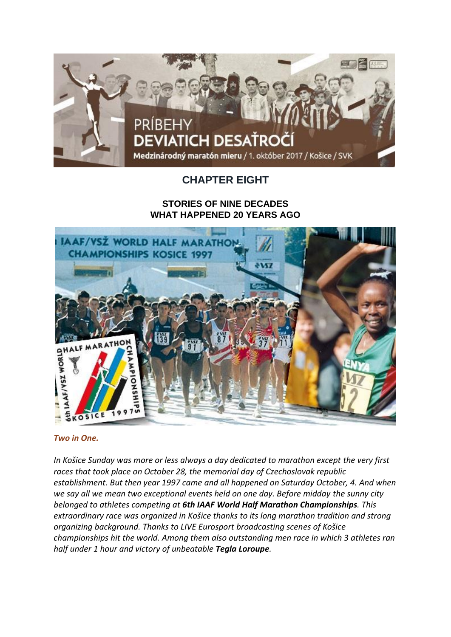

# **CHAPTER EIGHT**

## **STORIES OF NINE DECADES WHAT HAPPENED 20 YEARS AGO**



## *Two in One.*

*In Košice Sunday was more or less always a day dedicated to marathon except the very first races that took place on October 28, the memorial day of Czechoslovak republic establishment. But then year 1997 came and all happened on Saturday October, 4. And when we say all we mean two exceptional events held on one day. Before midday the sunny city belonged to athletes competing at 6th IAAF World Half Marathon Championships. This extraordinary race was organized in Košice thanks to its long marathon tradition and strong organizing background. Thanks to LIVE Eurosport broadcasting scenes of Košice championships hit the world. Among them also outstanding men race in which 3 athletes ran half under 1 hour and victory of unbeatable Tegla Loroupe.*